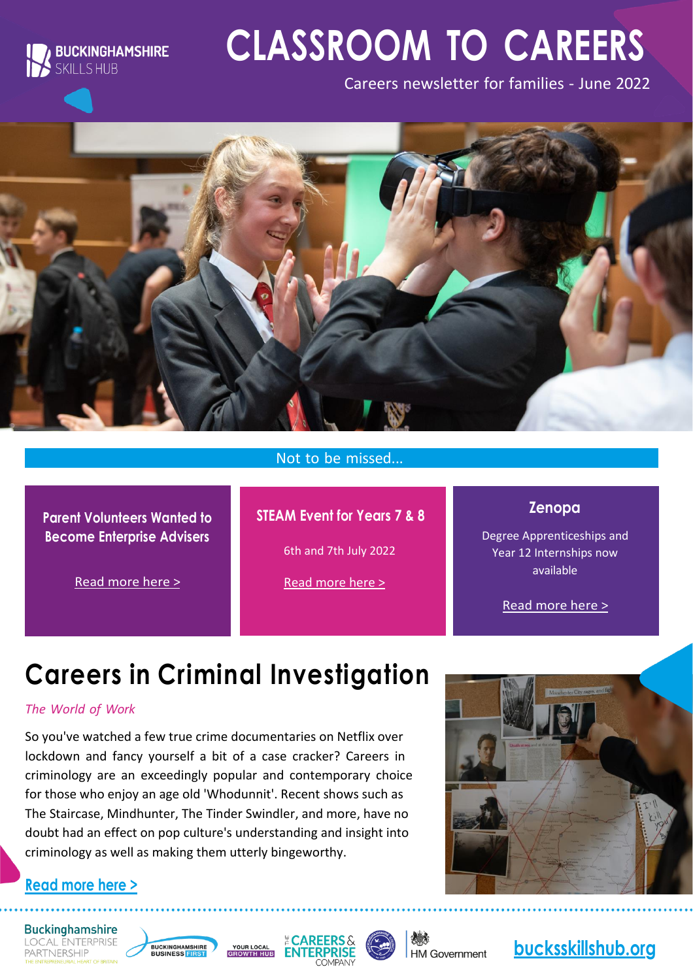

# **CLASSROOM TO CAREERS**

Careers newsletter for families - June 2022



#### Not to be missed...

**Parent Volunteers Wanted to Become Enterprise Advisers**

**STEAM Event for Years 7 & 8** 

6th and 7th July 2022

Read [more](https://bbf.uk.com/business-support/enterprise-advisor-network) here >

[Read more here >](https://www.bucksskillshub.org/media/1437/FULL-STEAM---July-2022.pdf)

**Zenopa**

Degree Apprenticeships and Year 12 Internships now available

Read [more](https://www.zenopa.com/2022-business-degree-apprenticeship-buckinghamshire/job/68414) here >

# **Careers in Criminal Investigation**

#### *The World of Work*

So you've watched a few true crime documentaries on Netflix over lockdown and fancy yourself a bit of a case cracker? Careers in criminology are an exceedingly popular and contemporary choice for those who enjoy an age old 'Whodunnit'. Recent shows such as The Staircase, Mindhunter, The Tinder Swindler, and more, have no doubt had an effect on pop culture's understanding and insight into criminology as well as making them utterly bingeworthy.



#### **Read [more](https://bucksskillshub.org/career-seeker/resources/careers-in-criminal-investigation) here >**

**Buckinghamshire LOCAL ENTERPRISE** PARTNERSHIP







**HM Government** 

### **[bucksskillshub.org](http://bucksskillshub.org/)**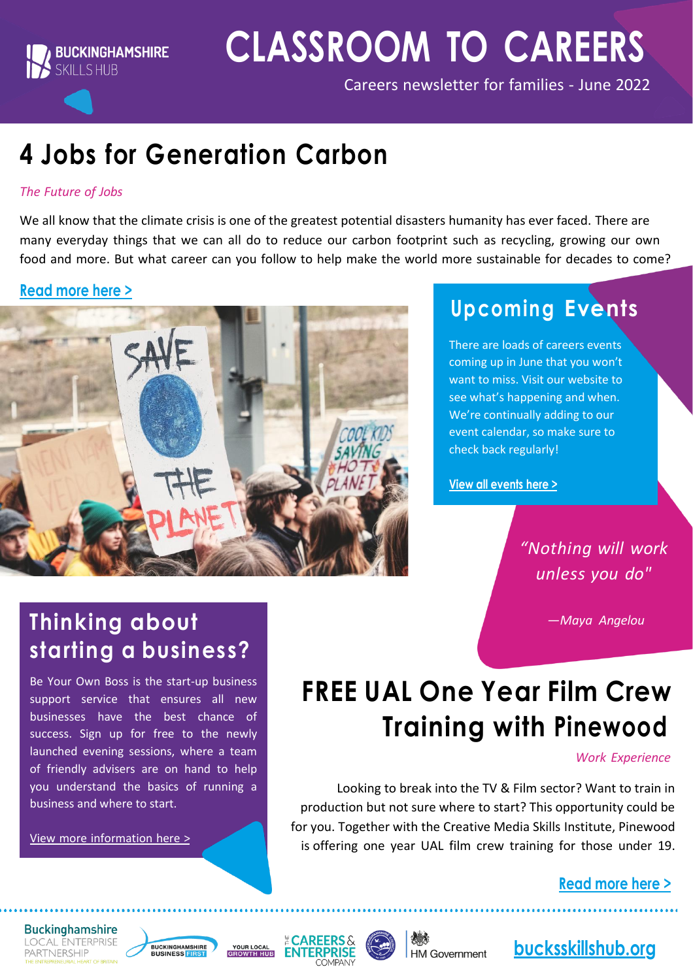

# **CLASSROOM TO CAREERS**

Careers newsletter for families - June 2022

# **4 Jobs for Generation Carbon**

#### *The Future of Jobs*

We all know that the climate crisis is one of the greatest potential disasters humanity has ever faced. There are many everyday things that we can all do to reduce our carbon footprint such as recycling, growing our own food and more. But what career can you follow to help make the world more sustainable for decades to come?

#### **Read [more](https://bucksskillshub.org/career-seeker/resources/4-jobs-for-generation-carbon) here >**



### **Upcoming Events**

There are loads of careers events coming up in June that you won't want to miss. Visit our website to see what's happening and when. We're continually adding to our event calendar, so make sure to check back regularly!

**View all [events](https://www.bucksskillshub.org/events) here >**

### *"Nothing will work unless you do"*

*—Maya Angelou*

### **Thinking about starting a business?**

Be Your Own Boss is the start-up business support service that ensures all new businesses have the best chance of success. Sign up for free to the newly launched evening sessions, where a team of friendly advisers are on hand to help you understand the basics of running a business and where to start.

View more [information](https://bbf.uk.com/be-your-own-boss) here >

# **FREE UAL One Year Film Crew Training with Pinewood**

#### *Work Experience*

Looking to break into the TV & Film sector? Want to train in production but not sure where to start? This opportunity could be for you. Together with the Creative Media Skills Institute, Pinewood is offering one year UAL film crew training for those under 19.

**Read [more](https://bucksskillshub.org/career-seeker/resources/free-ual-one-year-film-crew-training-with-pinewood) here >**

#### **Buckinghamshire LOCAL ENTERPRISE** PARTNERSHIP







**HM Government**